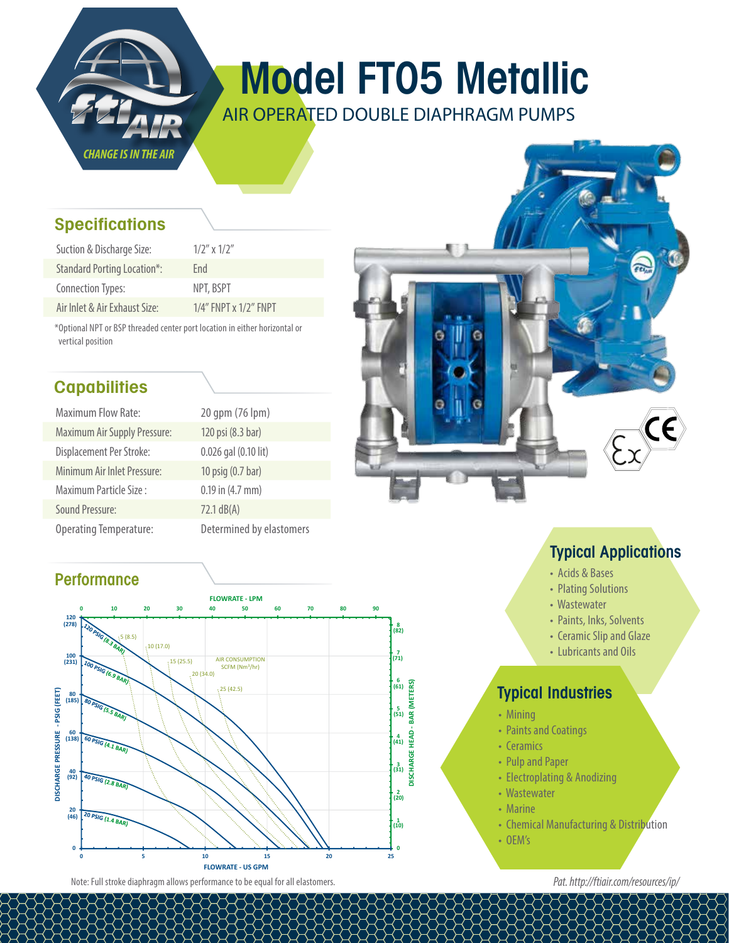

# Model FT05 Metallic

AIR OPERATED DOUBLE DIAPHRAGM PUMPS

### **Specifications**

| Suction & Discharge Size:          | $1/2''$ x $1/2''$     |
|------------------------------------|-----------------------|
| <b>Standard Porting Location*:</b> | Fnd                   |
| Connection Types:                  | NPT, BSPT             |
| Air Inlet & Air Exhaust Size:      | 1/4" FNPT x 1/2" FNPT |

\*Optional NPT or BSP threaded center port location in either horizontal or vertical position

## **Capabilities**

| <b>Maximum Flow Rate:</b>           | 20 gpm (76 lpm)          |
|-------------------------------------|--------------------------|
| <b>Maximum Air Supply Pressure:</b> | 120 psi (8.3 bar)        |
| Displacement Per Stroke:            | 0.026 gal (0.10 lit)     |
| Minimum Air Inlet Pressure:         | 10 psig (0.7 bar)        |
| Maximum Particle Size:              | $0.19$ in $(4.7$ mm)     |
| Sound Pressure:                     | $72.1$ dB(A)             |
| <b>Operating Temperature:</b>       | Determined by elastomers |

### **Performance**





### Typical Applications

- Acids & Bases
- Plating Solutions
- Wastewater
- Paints, Inks, Solvents
- Ceramic Slip and Glaze
- Lubricants and Oils

### Typical Industries

- Mining
- Paints and Coatings
- Ceramics
- Pulp and Paper
- Electroplating & Anodizing
- Wastewater
- Marine
- Chemical Manufacturing & Distribution
- OEM's

*Pat. http://ftiair.com/resources/ip/*